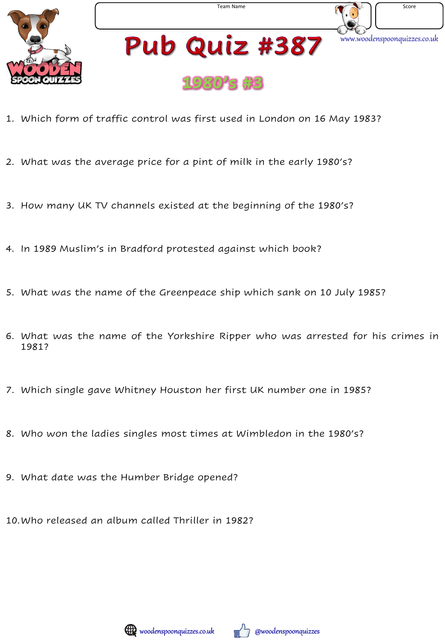





# Pub Quiz #387



- 1. Which form of traffic control was first used in London on 16 May 1983?
- 2. What was the average price for a pint of milk in the early 1980's?
- 3. How many UK TV channels existed at the beginning of the 1980's?
- 4. In 1989 Muslim's in Bradford protested against which book?
- 5. What was the name of the Greenpeace ship which sank on 10 July 1985?
- 6. What was the name of the Yorkshire Ripper who was arrested for his crimes in 1981?
- 7. Which single gave Whitney Houston her first UK number one in 1985?
- 8. Who won the ladies singles most times at Wimbledon in the 1980's?
- 9. What date was the Humber Bridge opened?

10.Who released an album called Thriller in 1982?